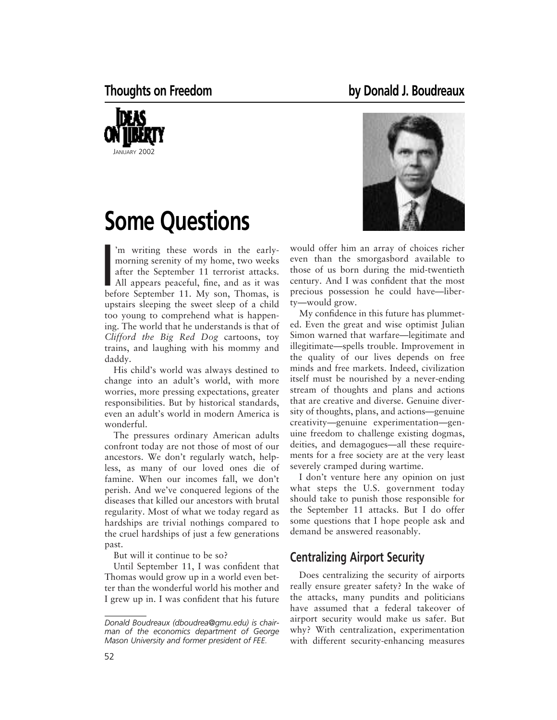

# **Some Questions**

morning serenity of my home, two weeks<br>
after the September 11 terrorist attacks.<br>
All appears peaceful, fine, and as it was<br>
before September 11 My son Thomes is 'm writing these words in the earlymorning serenity of my home, two weeks after the September 11 terrorist attacks. before September 11. My son, Thomas, is upstairs sleeping the sweet sleep of a child too young to comprehend what is happening. The world that he understands is that of *Clifford the Big Red Dog* cartoons, toy trains, and laughing with his mommy and daddy.

His child's world was always destined to change into an adult's world, with more worries, more pressing expectations, greater responsibilities. But by historical standards, even an adult's world in modern America is wonderful.

The pressures ordinary American adults confront today are not those of most of our ancestors. We don't regularly watch, helpless, as many of our loved ones die of famine. When our incomes fall, we don't perish. And we've conquered legions of the diseases that killed our ancestors with brutal regularity. Most of what we today regard as hardships are trivial nothings compared to the cruel hardships of just a few generations past.

But will it continue to be so?

Until September 11, I was confident that Thomas would grow up in a world even better than the wonderful world his mother and I grew up in. I was confident that his future



would offer him an array of choices richer even than the smorgasbord available to those of us born during the mid-twentieth century. And I was confident that the most precious possession he could have—liberty—would grow.

My confidence in this future has plummeted. Even the great and wise optimist Julian Simon warned that warfare—legitimate and illegitimate—spells trouble. Improvement in the quality of our lives depends on free minds and free markets. Indeed, civilization itself must be nourished by a never-ending stream of thoughts and plans and actions that are creative and diverse. Genuine diversity of thoughts, plans, and actions—genuine creativity—genuine experimentation—genuine freedom to challenge existing dogmas, deities, and demagogues—all these requirements for a free society are at the very least severely cramped during wartime.

I don't venture here any opinion on just what steps the U.S. government today should take to punish those responsible for the September 11 attacks. But I do offer some questions that I hope people ask and demand be answered reasonably.

# **Centralizing Airport Security**

Does centralizing the security of airports really ensure greater safety? In the wake of the attacks, many pundits and politicians have assumed that a federal takeover of airport security would make us safer. But why? With centralization, experimentation with different security-enhancing measures

*Donald Boudreaux (dboudrea@gmu.edu) is chairman of the economics department of George Mason University and former president of FEE.*